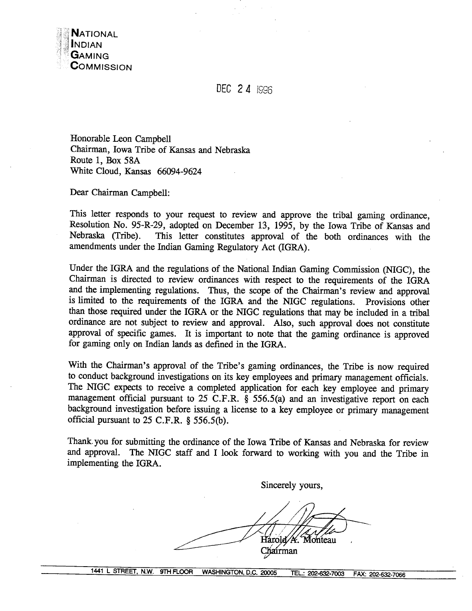**DEC** 2 4 IS96

Honorable Leon Campbell Chairman, Iowa Tribe of Kansas and Nebraska Route 1, Box **58A**  White Cloud, Kansas 66094-9624

Dear Chairman Campbell:

This letter responds to your request to review and approve the tribal gaming ordinance, Resolution No. 95-R-29, adopted on December 13, 1995, by the Iowa Tribe of Kansas and Nebraska (Tribe). This letter constitutes approval of the both ordinances with the amendments under the Indian Gaming Regulatory Act (IGRA).

Under the IGRA and the regulations of the National Indian Gaming Commission WGC), the Chairman is directed to review ordinances with respect to the requirements of the IGRA and the implementing regulations. Thus, the scope of the Chairman's review and approval is limited to the requirements of the IGRA and the NIGC regulations. Provisions other than those required under the IGRA or the NIGC regulations that may be included in a tribal ordinance are not subject to review and approval. Also, such approval does not constitute approval of specific games. It is important to note that the gaming ordinance is approved for gaming only on Indian lands as defined in the IGRA.

With the Chairman's approval of the Tribe's gaming ordinances, the Tribe is now required to conduct background investigations on its key employees and primary management officials. The NIGC expects to receive a completed application for each key employee and primary management official pursuant to 25 C.F.R. § 556.5(a) and an investigative report on each background investigation before issuing a license to a key employee or primary management official pursuant to 25 **C.F.R. 8** 556.5@).

Thank. you for submitting the ordinance of the Iowa Tribe of Kansas and Nebraska for review and approval. The NIGC staff and I look forward to working with you and the Tribe in implementing the IGRA.

Sincerely yours,

Harold / K. Monteau Chairman

**1441** L **STREET, N.W. 9TH** ROOR **WASHINGTON, D.C. 20005 EL: 202-632-7003 FAX: 202-632-7066**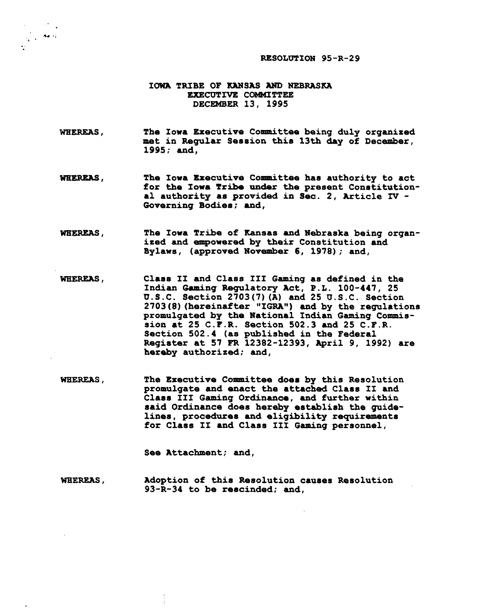**RESOLUTION 95-R-2 9** 

#### **IOWA TRIBE OF KANSAS AND NEBRASKA EXECUTIVE CCBMITTEE DECEMBER 13, 1995**

 $\frac{1}{\sqrt{2}}\int_{0}^{\frac{\pi}{2}}\frac{d\mathbf{r}}{d\mathbf{r}}\,d\mathbf{r}=\frac{1}{2}\int_{0}^{\frac{\pi}{2}}\frac{d\mathbf{r}}{d\mathbf{r}}\,d\mathbf{r}$ 

**WHEREAS,**  The Iowa Executive Committee being duly organized lnet **in Regular Session thia 13th day of December, 1995; and,** 

- WHEREAS. **The Iowa Executive Committee ha8 authority to act for the Iowa Tribe under the present Conatitutional authority as provided in Sec. 2, Article N** - **Governing Bodiea; and,**
- WEEREAS, **The Iowa Tribe of Kansas and Nebraska being organized and empowered by their Constitution and Bylaws, (approved November 6, 1978); and,**
- **Claas I1 and Class 111 Gaming as defined in the**  WHEREAS, **Indian Gaming Regulatory Act, P.L. 100-447, 25 U.S.C. Section 2703 (7) (A) and 25 U.S.C. Section**  2703 (8) (hereinafter "IGRA") and by the regulations **promulgated by the Hational Indian Gaming Commission at 25 C.F.R. Section 502.3 and 25 C.F.R. Section 502.4 (as published in the Federal Regiater at 57 FR 12382-12393, April 9, 1992) are hereby authorized; and,**
- WHEREAS, **The Executive Committee doe8 by this Resolution promulgate and enact the attached Claas I1 and Claaa 111 Gaming Ordinance, and further within aaid Ordinance does hereby establish the guide**lines, procedures and eligibility requirements **for Class 11 and Class XI1 Gaming personnel,**

**See Attachment; and,** 

**WHEREAS, Adoption of thia Resolution causes Resolution 93-R-34 to be rescinded; and,**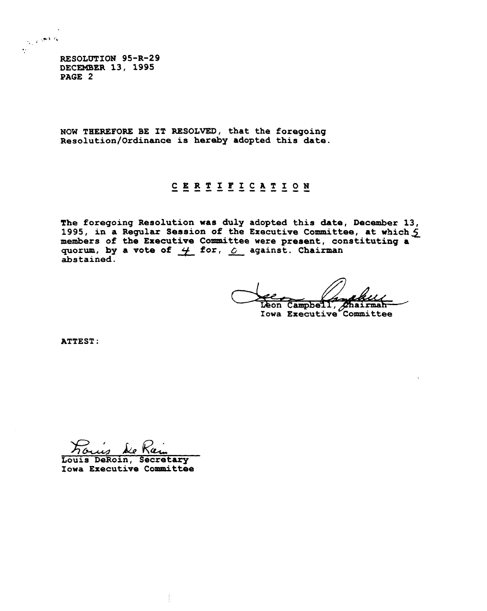**RESOLOTION 95-R-29 DECEMBER 13, 1995 PAGE 2** 

.\*, ;' . ;.. . . . . .

**NOW THEREFORE BE IT RESOLVED, that the foregoing ~esolution/Ordinance is hereby adopted this date.** 

## CERTIFICATION

**The foregoing Resolution was duly adopted this date, December 13, 1995, in a Regular Session of the Executive Committee, at which 5** members of the Executive Committee were present, constituting a quorum, by a vote of  $\frac{1}{2}$  for,  $\frac{1}{2}$  against. Chairman The foregoing Resolution was duly adopted this date, 1995, in a Regular Session of the Executive Committe members of the Executive Committee were present, con quorum, by a vote of  $\frac{1}{\sqrt{2}}$  for,  $\frac{1}{\sqrt{2}}$  against. Ch **abstained.** 

Leon Campbell, Chairman-<br>Iowa Executive Committee

**ATTEST** :

*hw* **BLPKcLG, Louis DeRoin, Secretary** 

**Iowa Executive committee**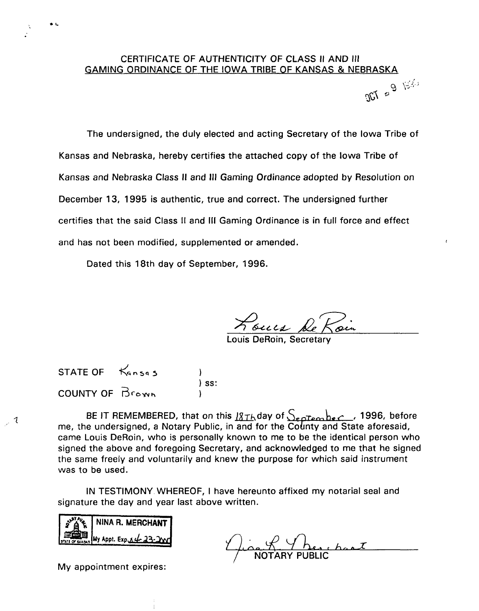# CERTIFICATE OF AUTHENTICITY OF CLASS II AND Ill GAMING ORDINANCE OF THE IOWA TRIBE OF KANSAS & NEBRASKA<br>Q

The undersigned, the duly elected and acting Secretary of the lowa Tribe of Kansas and Nebraska, hereby certifies the attached copy of the lowa Tribe of Kansas and Nebraska Class II and Ill Gaming Ordinance adopted by Resolution on December 13, 1995 is authentic, true and correct. The undersigned further certifies that the said Class I1 and Ill Gaming Ordinance is in full force and effect and has not been modified, supplemented or amended.

Dated this 18th day of September, 1996.

Roues De Roin

DeRoin, Secretary

STATE OF **Kansas**  $\sqrt{ss}$ : COUNTY OF **Brown** 

 $\bullet$  t

 $\overline{z}$ 

BE IT REMEMBERED, that on this 18Th day of  $S_{\texttt{epfember}}$ , 1996, before me, the undersigned, a Notary Public, in and for the County and State aforesaid, came Louis DeRoin, who is personally known to me to be the identical person who signed the above and foregoing Secretary, and acknowledged to me that he signed the same freely and voluntarily and knew the purpose for which said instrument was to be used.

IN TESTIMONY. WHEREOF, I have hereunto affixed my notarial seal and signature the day and year last above written.

| $\frac{1}{2}$ $\frac{1}{4}$ $\frac{1}{8}$ NINA R. MERCHANT |
|------------------------------------------------------------|
| STATE OF SARSAS MY Appt. Exp.s. 4 23.200                   |

**n-.**  Y here has I

My appointment expires: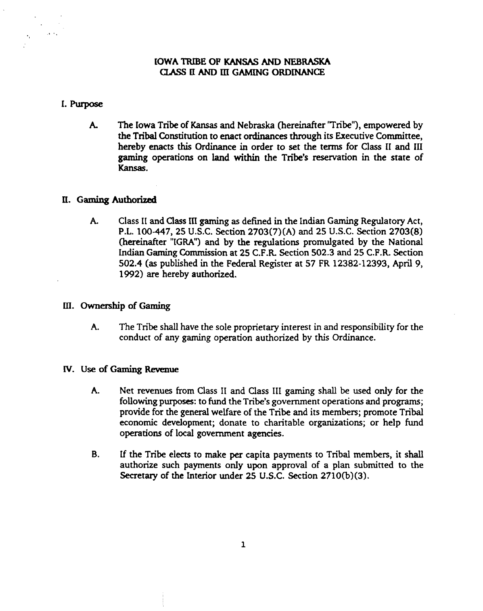## **IOWA TRIBE OF KANSAS AND NEBRASKA CLASS II AND III GAMING ORDINANCE**

#### **1-** Purpose

 $\Delta\sim 0.1$ 

**A.** The Iowa **Tribe** of Kansas and Nebraska **(hereinafter** 'Tribe"), empowered by the Tribal Constitution to enact ordinances through its Executive Committee, hereby enacts this Ordinance in order to set the terms for Class I1 and **111 gaming** operations on land within the **Tribe's** reservation in the state of Kansas.

#### **11. Gaming Authorized**

**A.** Class I1 and Class **in gaming as** defined in the Indian Gaming Regulatory Act, P.L. 100-447, 25 U.S.C. Section 2703(7) (A) and 25 **U.S.C.** Section 2703(8) (hereinafter "IGRA") and by the regulations promulgated by the National Indian Gaming Commission at 25 C.F.R Section 502.3 **and** 25 C.F.R Section 502.4 **(as** published in the Federal Register at 57 FR 12382-12393, April 9, 1992) are hereby authorized.

#### III. Ownership of Gaming

**A.** The Tribe shall have the sole proprietary interest in **and** responsibility for the conduct of **any** gaming operation authorized by this Ordinance.

#### **N. Use of Gaming Rewwe**

- **A.** Net revenues from Class I1 and Class 111 gaming shall be used only for the following purposes: to fund the Tribe's government operations and programs; provide for the general welfare of the Tribe and its members; promote Tribal economic development; donate to charitable organizations; or help fund operations of local government agencies.
- **B. If** the **Tribe** elects to make per capita payments to Tribal members, it shall authorize such payments only upon approval of a plan submitted to the Secretary of the Interior under 25 U.S.C. Section 2710(b)(3).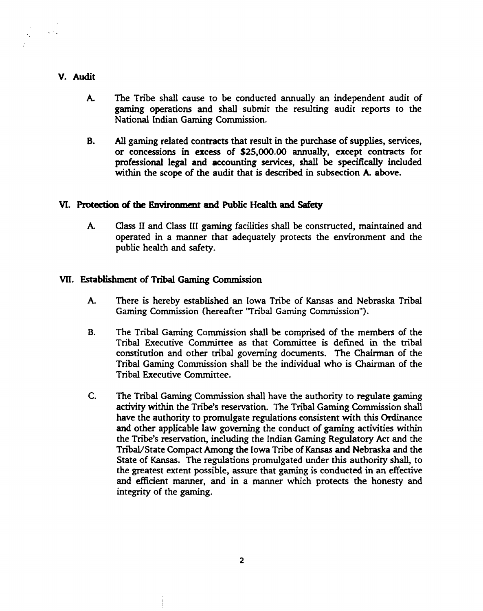## V. Audit

 $\sim 10^7$ 

 $\epsilon_{\rm{in}}$ 

- **A.** The Tribe shall cause to be conducted annually an independent audit of gaming operations and shall submit the resulting audit reports to the National Indian **Gaming** Commission.
- **B.** *All* gaming related contracts that result in the purchase of supplies, services, or concessions in excess of **\$25,000.00** annually, except contracts for professional legal and **accounting** services, shall be specifically included within the scope of the audit that is described in subsection **A.** above.

## **VI. Protectkm of tbe Enviraar&ent and Public Health and Safety**

**A.** Class I1 and Class I11 **gaming** facilities shall be constructed, maintained and operated in a **manner** that adequately protects the environment and the public health and safety.

## **VII.** Establjshment of **Tni Gaming Commission**

- **A.** There is hereby established an Iowa Tribe of **Kansas** and Nebraska Tribal **Gaming** Commission **(hereafter** "Tribal Garning Commission").
- **B.** The Tribal Gaming Commission shall be comprised of the members of the Tribal Executive Committee as that Committee is defined in **the** tribal constitution and other mbal governing documents. The Chairman of the Tribal Gaming Commission shall be the individual who is Chairman of the Tribal Executive Committee.
- $C_{\cdot}$ The Tribal Gaming Commission shall have the authority to regulate gaming activity within the **Tribe's** reservation. **The** Tribal **Gaming** Commission shall have the authority to promulgate regulations consistent with this Ordinance and other applicable law governing the conduct of gaming activities within the Tribe's reservation, including the Indian Gaming Regulatory Act and the Tribal/State Compact Among the Iowa Tribe of Kansas and Nebraska and the State of **Kansas.** The regulations promulgated under this authority shall, to the greatest extent possible, assure that gaming is conducted in an effective and efficient manner, and in a manner which protects the honesty and integrity of the gaming.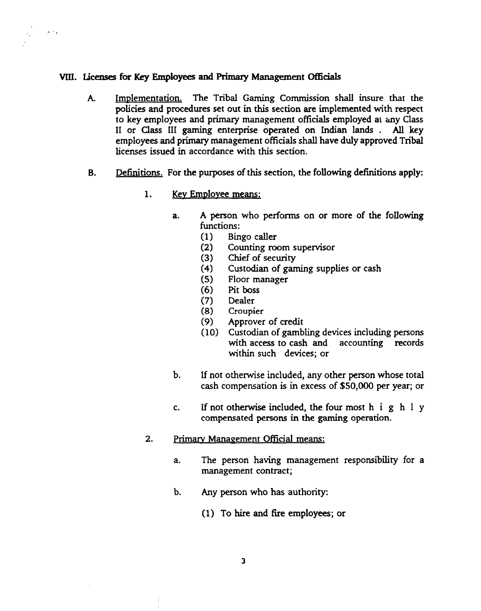#### **WI. Licenses for Key Employees and** Primary Management **Officials**

 $\sim 10^{10}$  s

- A. **Implementation.** The Tribal Gaming Commission shall insure that the policies and procedures set out in this section are implemented with respect to key employees and primary management officials employed at **my** Class I1 or Class 111 **gaming** enterprise operated on Indian lands . **All** key employees and primary management officials shall have duly approved Tribal licenses issued in accordance with this section.
- **B.** Definitions. For the purposes of this section, the following definitions apply:
	- 1. Key Employee means:
		- a. **A** person who performs on or more of the following functions:
			- (1) Bingo caller
			- (2) Counting **room** supervisor
			- (3) Chief of **security**
			- (4) Custodian of **gaming** supplies or cash
			- Floor manager
			- (6) Pit **boss**
			- (7) Dealer
			- (8) Croupier<br>(9) Approver
			- (9) Approver of credit<br>(10) Custodian of gamb
			- Custodian of gambling devices including persons with access to cash and accounting records within such devices; or
		- b. If not otherwise included, any other person whose total cash compensation is in excess of \$50,000 per year; or
		- **c.** If not otherwise included, the four most h i g h 1 y compensated **persons** in the **gaming** operation.
	- $2.$ **Primary Management Official means:** 
		- a. The person having management responsibility for a management contract;
		- b. Any person who has authority:
			- (1) To hire and fire employees; or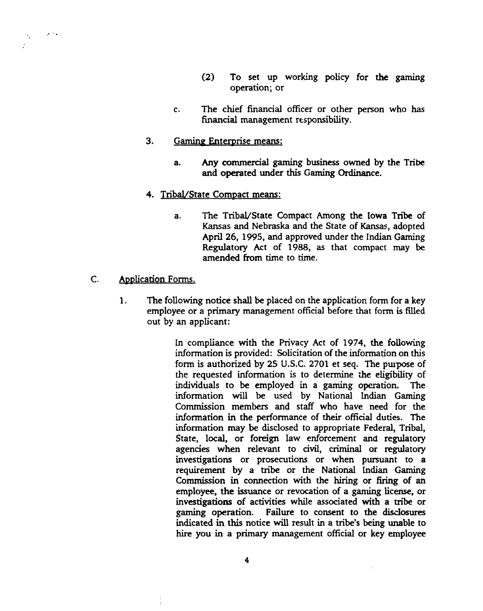- (2) To set up working policy for the gaming operation; or
- c. The chief financial officer or other person who has financial management responsibility.
- 3. Gaming Enterprise means:
	- a. Any commercial gaming business owned by the Tribe and operated under **this Gaming** Ordinance.
- 4. Tribal/State Compact means:
	- a. The Tribal/State Compact Among the Iowa Tribe of Kansas and Nebraska and the State of Kansas, adopted April 26, 1995, and approved under the Indian Gaming Regulatory Act of 1988, as that compact **may** be amended **from** time to time.
- $C_{\cdot}$ Application Forms.

 $\sim$   $\sim$ 

 $\sigma_{\rm{eff}}=0.1$ ÷

> **1.** The following notice shall be placed on the application form for a key employee or a primary management official before that form is filled out **by** an applicant:

> > In compliance with the Privacy Act of 1974, the following information is provided: Solicitation of the information on **this**  form is authorized **by** 25 **U.S.C.** 2701 et seq. The pupose of the requested information is to determine the eligibility of individuals to be employed in a gaming operation. information will be used by National **Indian** Gaming Commission **members** and staff who have need for the information in the performance of their official duties. The information **may** be disclosed to appropriate Federal, Tribal, State, local, or foreign law enforcement **and** regulatory agencies when relevant to civil, criminal or regulatory investigations or prosecutions or when pursuant to a requirement by a **tribe** or the National **Indian** Gaming Commission **in** connection with the hiring or firing of an employee, the issuance or revocation of a **gaming** license, or investigations of activities while associated with a **tribe** or **gaming** operation. Failure to consent to the **distiosures**  indicated in this notice **will** result in a **tribe's** being unable to hire you in a primary management official or key employee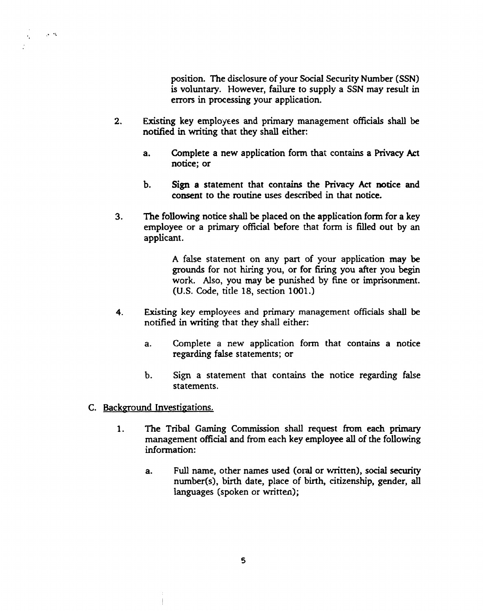position. The disclosure of your Social Security **Number** (SSN) is voluntary. However, failure to supply a SSN may result in errors in processing your application.

- 2. **Existing key employees and primary management officials shall be** notified in **writing** that they shall either:
	- a. Complete a new application form that contains a **Privacy Act**  notice; or
	- **b. Sign** a statement that contains the **Privacy Act** notice and consent to the routine uses described in that notice.
- **3. The** following notice **shall** be placed on the application form for a key employee or a primary official before hat form is filled out by an applicant.

**A** false statement on **any** part of your application may be grounds for not hiring you, or for firing you after you **begin**  work. Also, you may be punished by fine or imprisonment. (U.S. Code, title 18, section 1001.)

- **4. Existing** key employees **and** primary management officials shall be notified in **writing** that they shall either:
	- **a.** Complete a **new** application form that contains a notice regarding false statements: or
	- b. Sign a statement that contains the notice regarding false statements.
- C. Background Investigations.

 $\sim 10^{-12}$ 

 $\mathcal{C}_{\mathcal{C}}$ 

- **1. The** Tribal Gaming Commission shall request **from** each primary management official and from each key employee **all** of the following information:
	- a. Full name, other names used (oral or vnitten), social **security**  nurnber(s), birth date, place of birth, citizenship, gender, all languages (spoken or **written);**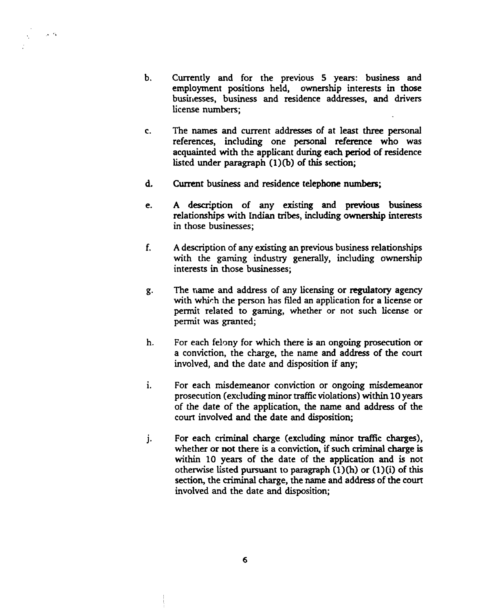- $\mathbf b$ . Currently and for the previous 5 years: business and employment positions held, ownership interests in those businesses, business and residence addresses, and drivers license numbers;
- **The names** and current addresses of at least three personal  $\mathbf{c}$ . references, including one personal reference who was acquainted with the applicant during each period of residence listed under paragraph **(l)(b)** of this section;
- d. Current business and residence telephone numbem;

 $\sim$   $\sim$ 

- **A** descrition of **any existing** and previous **business**  e. relationships with Indian **mbes,** including ownership interests in those businesses;
- $f_{\cdot}$ **A** description of any **existing** an previous business relationships with the gaming industry generally, including ownership interests in those businesses;
- The name and address of any licensing or regulatory agency g. with **whirh** the person has fled an application for a license or permit related to **gaming,** whether or **not** such license or permit was granted;
- h. For each felony for which there is an ongoing prosecution or a conviction, the charge, the name and address of the court involved, and the date and disposition if **any;**
- $\mathbf{i}$ . For each misdemeanor conviction or ongoing misdemeanor prosecution (excluding minor **traffic** violations) within 10 years of the date of the application, the name and address of the court involved and the date **and** disposition;
- $\mathbf{i}$ . For each criminal charge (excluding **minor** traffic **charges),**  whether or not there is a conviction, if such criminal charge is within 10 **years** of the date of the application and is not otherwise listed **pursuant** to paragraph **(1)fi)** or (l)(i) of this section, the criminal charge, the name and address of the court involved and the date and disposition;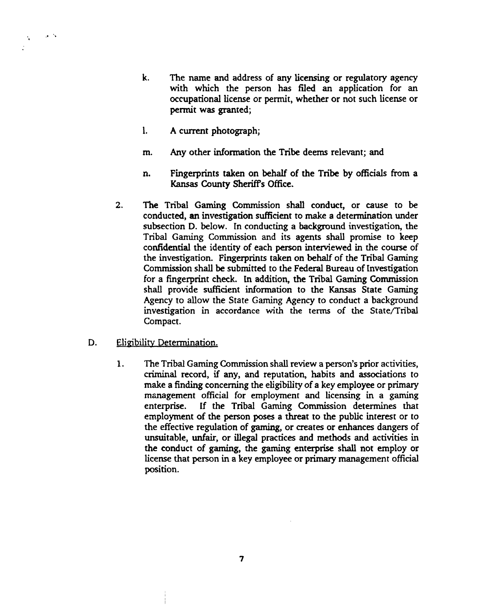- **k.** The name and address of any licensing or regulatory agency with which the person has **filed** an application for an occupational license or permit, whether or not such license or permit was granted;
- $\mathbf{l}$ . **A** current photograph;
- m. Any other information the Tribe deems relevant; and
- **n.** Fingerprints taken on behalf of the Tribe by officials **from** a Kansas **County** Sheriff's Office.
- $2.$ **The** Tribal Gaming Commission shall conduct, or cause to be conducted, an investigation sufficient to make a determination under subsection D. below. In conducting a **background** investigation, the Tribal Gaming Commission and its agents shall promise to keep confidential the identity of each person interviewed in the course of the investigation. Fingerprints taken on behalf of the Tribal Gaming Commission shall be submitted to the Federal Bureau of Investigation for a fingerprint check. **In** addition, the Tribal Gaming Commission shall provide **sufficient** information to the **Kansas** State Gaming Agency to allow the State Gaming Agency to conduct a background investigation in accordance with the terms of the State/Tribal Compact.
- D. Eligibility Determination.

 $\sim$   $^{\prime}$ 

 $\mathbf{V}_\mathrm{eff}$ 

**1.** The Tribal Gaming Commission shall review a person's prior activities, criminal record, if any, and reputation, habits and associations to make a **finding** concerning the eligibility of a key employee or primary msnagement official for employment and licensing in a gaming enterprise. If the Tribal **Gaming** Commission determines that employment of the person poses a threat to the public interest or to the effective regulation of gaming, or creates or enhances **dangers** of unsuitable, unfair, or illegal practices and methods and activities in the conduct of gaming, the **gaming** enterprise shall not employ or license that person in a key employee or primary management official position.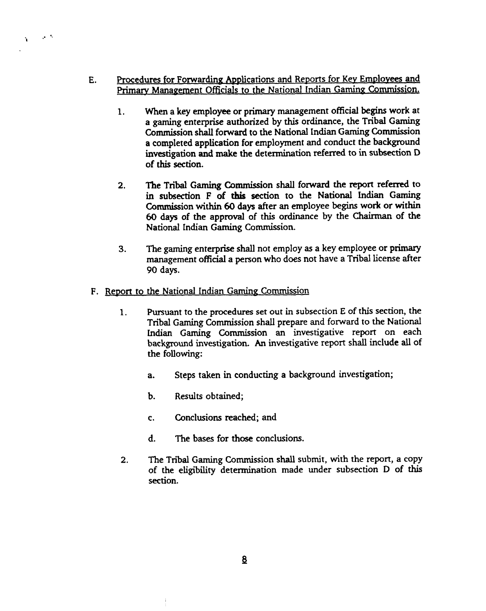- **E.** Procedures for Forwarding Applications and Reports for Key Employees and Primary Management Officials to the National Indian Gaming Commission.
	- **1. When** a key employee or primary management official **begins** work at a **gaming** enterprise authorized by this ordinance, the Tribal Gaming Commission shall forward to the National Indian **Gaming** Commission a completed application for employment and conduct the background investigation and make the determination **referred** to in **subsection D**  of this section.
	- **2.** The Tribal **Gaming** Commission shall forward the report referred to in subsection F of **this** section to the National Indian **Gaming**  Commission within 60 days after an employee **begins** work or within 60 days of the approval of this ordinance by the **Chairman** of the National Indian **Gaming** Commission.
	- **3.** The gaming enterprise shall not employ as a key employee or primary management official a person who does not have a Tribal license after 90 days.
- F. Report to the National Indian Gaming Commission

 $\sim$   $\sim$ 

À.

- **1.** Pursuant to the **procedures set** out in **subsection** E of this section, the Tribal Gaming Commission shall prepare and forward to the National **Indian Gaming** Commission an investigative report on each background investigation. An investigative report shall include all of the following:
	- a. Steps taken in conducting a background investigation;
	- b. Results obtained;
	- c. Conclusions reached; and
	- **d.** The bases for those conclusions.
- **2.** The Tribal **Gaming** Commission **shall** submit, with the report, a copy of the eligibility determination made under subsection D of this section.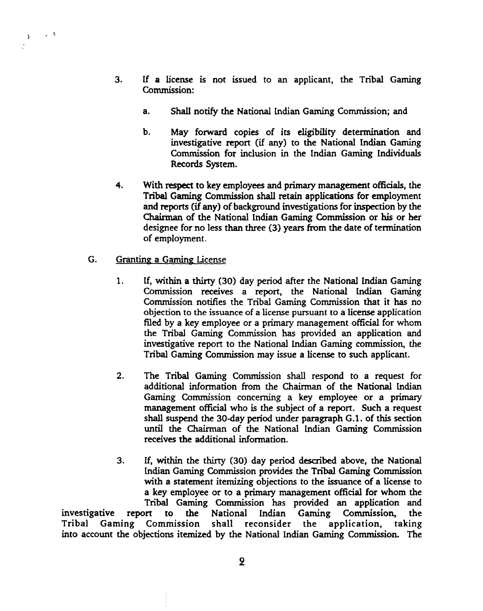- 3. If a license is not issued to an applicant, the Tribal **Gaming**  Commission:
	- a. Shall notify the National **Lndian Gaming** Commission; and
	- b. May forward copies of its eligibility determination and investigative report (if any) to the National **Indian Gaming**  Commission for inclusion in the Indian **Gaming** Individuals Records System.
- **4.** With respect to key employees and primary management officials, the Tribal **Gaming** Commission shall retain applications for employment and reports (if any) of background investigations for inspection by the Chairman of the National Indian **Gaming** Commission or **his** or her designee for no less **than** three (3) years from the date of termination of employment.
- **G.** Granting a Gaming License

 $\sim$   $\Lambda$ 

 $\mathcal{V}$ 

- $\mathbf{1}$ . If, within a thirty (30) day period after the National Indian Gaming Commission receives a report, the National Indian Gaming Commission notifies the Tribal **Gaming** Commission that it has no objection to **the** issuance of a license pursuant to a license application filed by a key employee or a primary management official for whom the Tribal **Gaming** Commission has provided an application and investigative report to the National Indian **Gaming** commission, the **Tribal Gaming** Commission may issue a license to such applicant.
- **2.** The Tribal **Gaming** Commission shall respond to a request for additional information from the **Chairman** of the National **Indian**  Gaming Commission concerning a key employee or a primary management official who is the subject of a report. Such a request shall suspend the 30-day period under paragraph **G.1.** of this section **until** the **Chairman** of the National **lndian Gaming** Commission receives the additional information.
- **3.** If, within the thirty (30) day period described above, the National **Indian Gaming** Commission provides **the** Tribal Gaming Commission with a statement itemizing objections to **the** issuance of a license to a key employee or to a primary management official for whom the Tribal **Gaming** Commission has provided **an** application and investigative report to the National Indian Gaming Commission, the Tribal Gaming Commission shall reconsider the application, into account the objections itemized by the National Indian **Gaming** Commission. The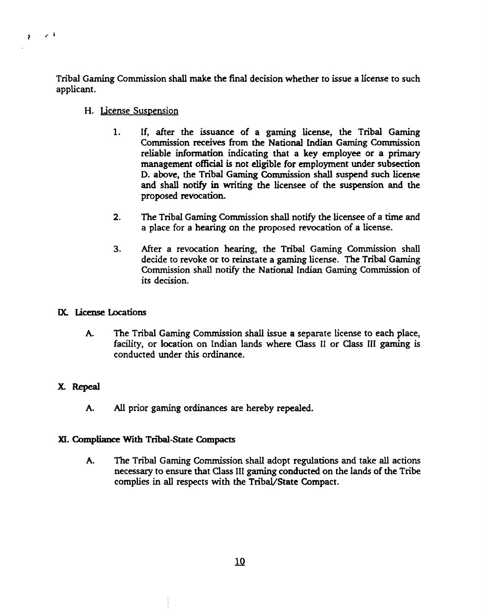Tribal **Gaming** Commission shall make the final decision whether to issue a license to such applicant.

#### H. License Suspension

 $\epsilon^{-1}$ 

 $\mathbf{r}$ 

- 1. If, after the issuance of a **gaming** license, the Tribal Gaming Commission **receives** from the National **Indian Gaming** Commission reliable information indicating that a key employee or a primary management official is not eligible for employment under subsection D. above, the Tribal **Gaming** Commission **shall suspend such** license **and** shall notify in writing the licensee of the suspension and the proposed revocation.
- **2.** The Tribal **Gaming** Commission shall notify the licensee of a time and a place for a hearing on the proposed revocation of a license.
- **3.** After a revocation hearing, the Tribal **Gaming** Commission shall decide to revoke or to reinstate a **gaming** license. The Tribal Gaming Commission shall notify the National Indian Gaming Commission of its decision.

## **M. license** bcations

**A.** The Tribal Gaming Commission shall issue a separate license to each place, facility, or location on **Indian** lands where Class I1 or Class **111 gaming** is conducted under this ordinance.

## X. Repeal

**A. AU** prior gaming ordinances are hereby repealed.

## XI. **Compliance With** Tni-State **Compacts**

**A.** The Tribal **Gaming** Commission shall adopt regulations and take all actions necessary to ensure that Class I11 gaming conducted on the lands of the **Tribe**  complies in all respects with the **TribaVState** Compact.